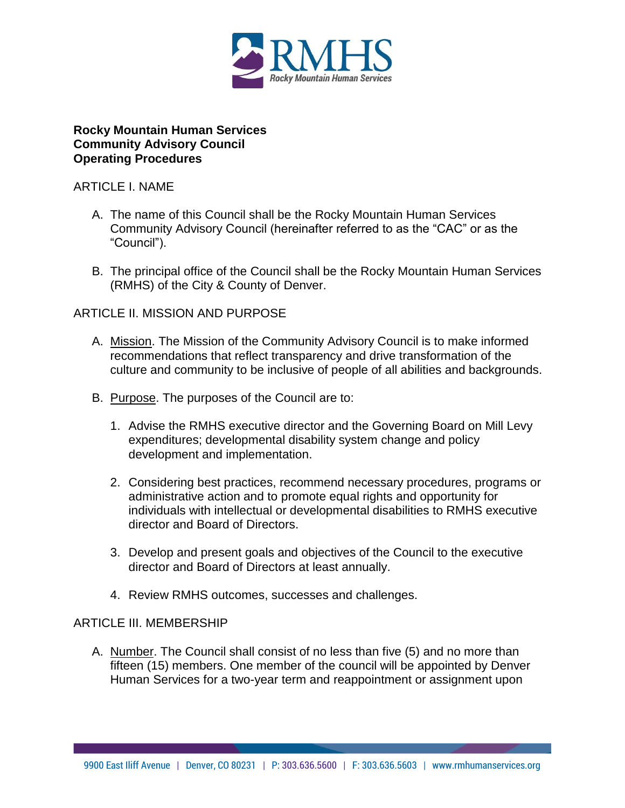

#### **Rocky Mountain Human Services Community Advisory Council Operating Procedures**

#### ARTICLE I. NAME

- A. The name of this Council shall be the Rocky Mountain Human Services Community Advisory Council (hereinafter referred to as the "CAC" or as the "Council").
- B. The principal office of the Council shall be the Rocky Mountain Human Services (RMHS) of the City & County of Denver.

# ARTICLE II. MISSION AND PURPOSE

- A. Mission. The Mission of the Community Advisory Council is to make informed recommendations that reflect transparency and drive transformation of the culture and community to be inclusive of people of all abilities and backgrounds.
- B. Purpose. The purposes of the Council are to:
	- 1. Advise the RMHS executive director and the Governing Board on Mill Levy expenditures; developmental disability system change and policy development and implementation.
	- 2. Considering best practices, recommend necessary procedures, programs or administrative action and to promote equal rights and opportunity for individuals with intellectual or developmental disabilities to RMHS executive director and Board of Directors.
	- 3. Develop and present goals and objectives of the Council to the executive director and Board of Directors at least annually.
	- 4. Review RMHS outcomes, successes and challenges.

## ARTICLE III. MEMBERSHIP

A. Number. The Council shall consist of no less than five (5) and no more than fifteen (15) members. One member of the council will be appointed by Denver Human Services for a two-year term and reappointment or assignment upon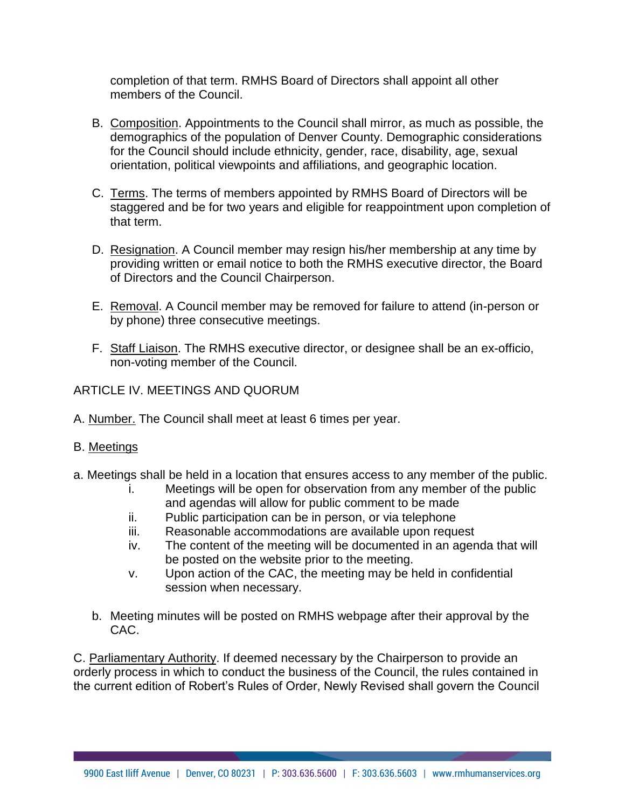completion of that term. RMHS Board of Directors shall appoint all other members of the Council.

- B. Composition. Appointments to the Council shall mirror, as much as possible, the demographics of the population of Denver County. Demographic considerations for the Council should include ethnicity, gender, race, disability, age, sexual orientation, political viewpoints and affiliations, and geographic location.
- C. Terms. The terms of members appointed by RMHS Board of Directors will be staggered and be for two years and eligible for reappointment upon completion of that term.
- D. Resignation. A Council member may resign his/her membership at any time by providing written or email notice to both the RMHS executive director, the Board of Directors and the Council Chairperson.
- E. Removal. A Council member may be removed for failure to attend (in-person or by phone) three consecutive meetings.
- F. Staff Liaison. The RMHS executive director, or designee shall be an ex-officio, non-voting member of the Council.

## ARTICLE IV. MEETINGS AND QUORUM

A. Number. The Council shall meet at least 6 times per year.

## B. Meetings

- a. Meetings shall be held in a location that ensures access to any member of the public.
	- i. Meetings will be open for observation from any member of the public and agendas will allow for public comment to be made
	- ii. Public participation can be in person, or via telephone
	- iii. Reasonable accommodations are available upon request
	- iv. The content of the meeting will be documented in an agenda that will be posted on the website prior to the meeting.
	- v. Upon action of the CAC, the meeting may be held in confidential session when necessary.
	- b. Meeting minutes will be posted on RMHS webpage after their approval by the CAC.

C. Parliamentary Authority. If deemed necessary by the Chairperson to provide an orderly process in which to conduct the business of the Council, the rules contained in the current edition of Robert's Rules of Order, Newly Revised shall govern the Council